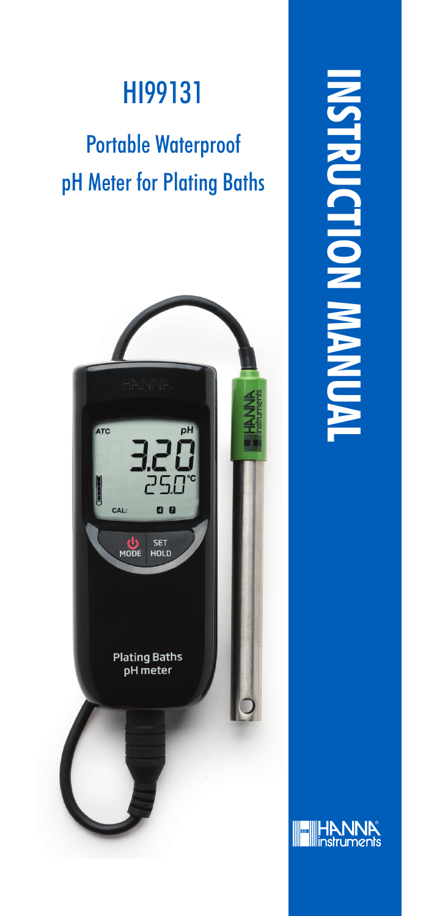### HI99131

### Portable Waterproof pH Meter for Plating Baths



**INSTRUCTION MANUALPUCTION** 

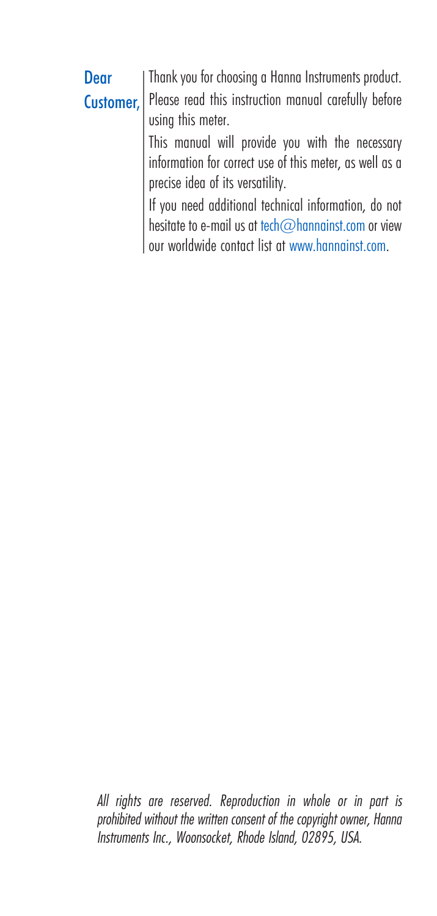| Dear                                                    | Thank you for choosing a Hanna Instruments product.  |
|---------------------------------------------------------|------------------------------------------------------|
| Customer,                                               | Please read this instruction manual carefully before |
|                                                         | using this meter.                                    |
|                                                         | This manual will provide you with the necessary      |
| information for correct use of this meter, as well as a |                                                      |
|                                                         | precise idea of its versatility.                     |
|                                                         | If you need additional technical information, do not |
|                                                         | hesitate to e-mail us at tech@hannainst.com or view  |
|                                                         | our worldwide contact list at www.hannainst.com.     |

*All rights are reserved. Reproduction in whole or in part is prohibited without the written consent of the copyright owner, Hanna Instruments Inc., Woonsocket, Rhode Island, 02895, USA.*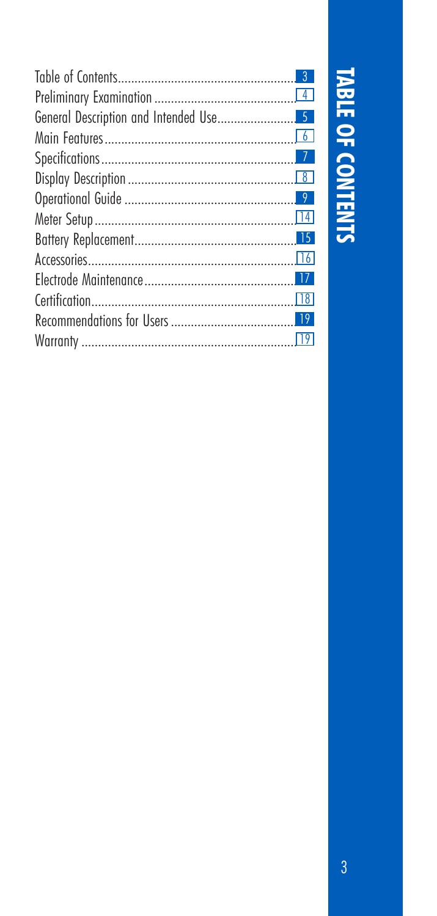# TABLE OF CONTENTS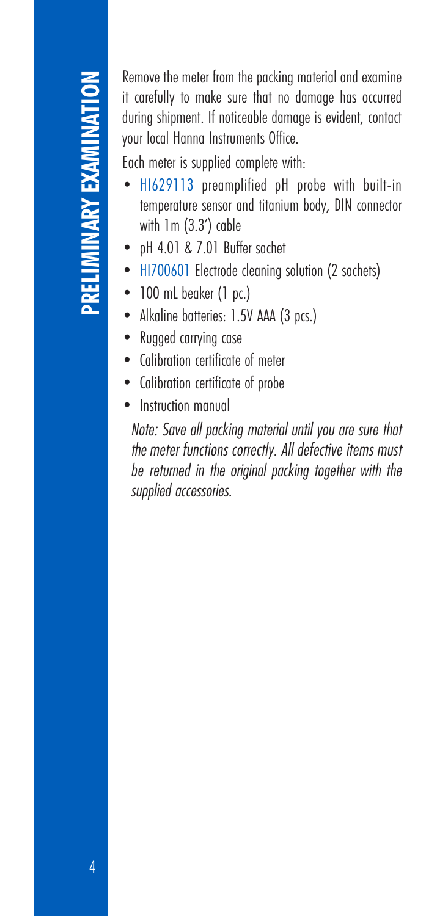it carefully to make sure that no damage has occurred during shipment. If noticeable damage is evident, contact your local Hanna Instruments Office.

Each meter is supplied complete with:

- HI629113 preamplified pH probe with built-in temperature sensor and titanium body, DIN connector with 1m (3.3') cable
- pH 4.01 & 7.01 Buffer sachet
- HI700601 Electrode cleaning solution (2 sachets)
- 100 mL beaker (1 pc.)
- Alkaline batteries: 1.5V AAA (3 pcs.)
- Rugged carrying case
- Calibration certificate of meter
- Calibration certificate of probe
- Instruction manual

**EXAMINATION THE CONSULTERATION CONSULTERATION** in the subset that no damage has occurred your local Hanna Instruments Office.<br> **Each meter is supplied complete with :**<br> **Each meter is supplied complete with suit-in** tempe *Note: Save all packing material until you are sure that the meter functions correctly. All defective items must be returned in the original packing together with the supplied accessories.*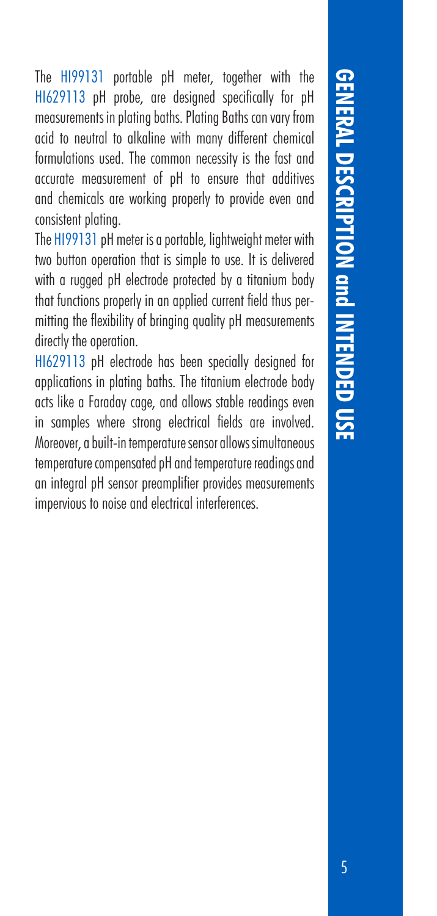**GENERAL DESCRIPTION GINTENDED USE** 5**GENERAL DESCRIPTION and INTENDED USE**

The HI99131 portable pH meter, together with the HI629113 pH probe, are designed specifically for pH measurements in plating baths. Plating Baths can vary from acid to neutral to alkaline with many different chemical formulations used. The common necessity is the fast and accurate measurement of pH to ensure that additives and chemicals are working properly to provide even and consistent plating. The HI99131 pH meter is a portable, lightweight meter with

two button operation that is simple to use. It is delivered with a rugged pH electrode protected by a titanium body that functions properly in an applied current field thus permitting the flexibility of bringing quality pH measurements directly the operation.

HI629113 pH electrode has been specially designed for applications in plating baths. The titanium electrode body acts like a Faraday cage, and allows stable readings even in samples where strong electrical fields are involved. Moreover, a built-in temperature sensor allows simultaneous temperature compensated pH and temperature readings and an integral pH sensor preamplifier provides measurements impervious to noise and electrical interferences.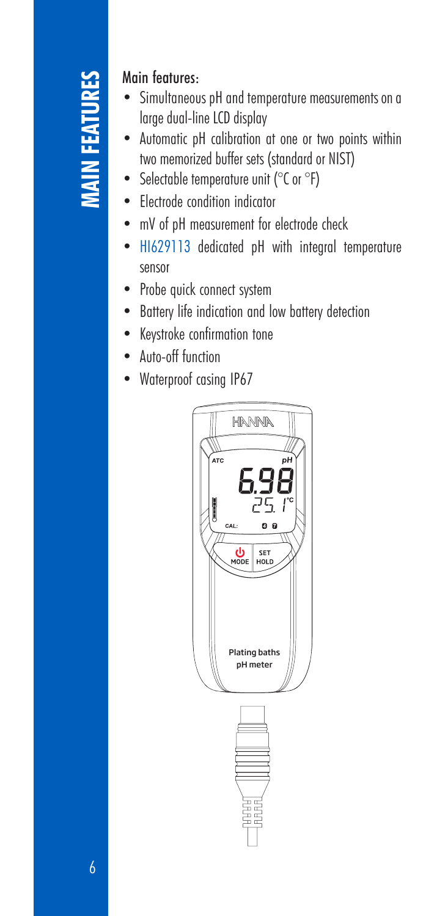### Main features:

- Simultaneous pH and temperature measurements on a large dual-line LCD display
- Automatic pH calibration at one or two points within two memorized buffer sets (standard or NIST)
- Selectable temperature unit (°C or °F)
- Electrode condition indicator
- mV of pH measurement for electrode check
- HI629113 dedicated pH with integral temperature sensor
- Probe quick connect system
- Battery life indication and low battery detection
- Keystroke confirmation tone
- Auto-off function
- Waterproof casing IP67

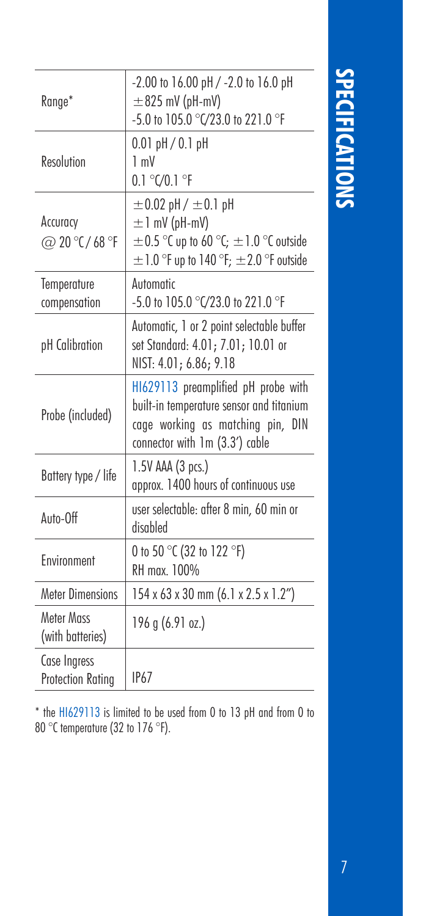| Range*                                   | $-2.00$ to $16.00$ pH $/$ $-2.0$ to $16.0$ pH<br>$\pm$ 825 mV (pH-mV)<br>-5.0 to 105.0 °C/23.0 to 221.0 °F                                              |
|------------------------------------------|---------------------------------------------------------------------------------------------------------------------------------------------------------|
| Resolution                               | $0.01$ pH / $0.1$ pH<br>1 mV<br>0.1 °C/0.1 °F                                                                                                           |
| Accuracy<br>@ 20 °C / 68 °F              | $\pm 0.02$ pH / $\pm 0.1$ pH<br>$\pm$ 1 mV (pH-mV)<br>$\pm$ 0.5 °C up to 60 °C; $\pm$ 1.0 °C outside<br>$\pm$ 1.0 °F up to 140 °F; $\pm$ 2.0 °F outside |
| Temperature<br>compensation              | Automotic<br>-5.0 to 105.0 °C/23.0 to 221.0 °F                                                                                                          |
| pH Calibration                           | Automatic, 1 or 2 point selectable buffer<br>set Standard: 4.01; 7.01; 10.01 or<br>NIST: 4.01; 6.86; 9.18                                               |
| Probe (included)                         | H1629113 preamplified pH probe with<br>built-in temperature sensor and titanium<br>cage working as matching pin, DIN<br>connector with 1m (3.3') cable  |
| Battery type / life                      | 1.5V AAA (3 pcs.)<br>approx. 1400 hours of continuous use                                                                                               |
| Auto-Off                                 | user selectable: after 8 min, 60 min or<br>disabled                                                                                                     |
| Fnvironment                              | 0 to 50 °C (32 to 122 °F)<br>RH max. 100%                                                                                                               |
| <b>Meter Dimensions</b>                  | 154 x 63 x 30 mm (6.1 x 2.5 x 1.2")                                                                                                                     |
| Meter Mass<br>(with batteries)           | 196 g (6.91 oz.)                                                                                                                                        |
| Case Ingress<br><b>Protection Rating</b> | <b>IP67</b>                                                                                                                                             |

**SPECIFICATIONS** 7**SPECIFICATIONS**

\* the HI629113 is limited to be used from 0 to 13 pH and from 0 to 80 °C temperature (32 to 176 °F).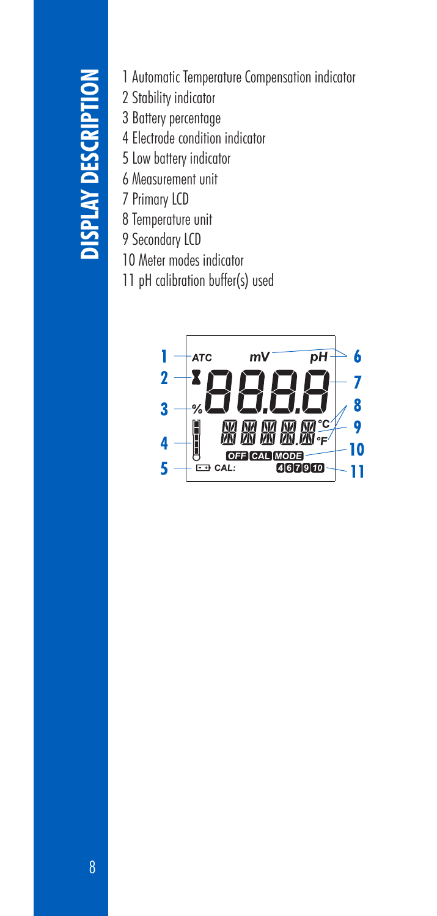- 
- 2 Stability indicator
- 3 Battery percentage
- 4 Electrode condition indicator
- 5 Low battery indicator
- 6 Measurement unit
- 7 Primary LCD
- 8 Temperature unit
- 9 Secondary LCD
- 10 Meter modes indicator
- 11 pH calibration buffer(s) used

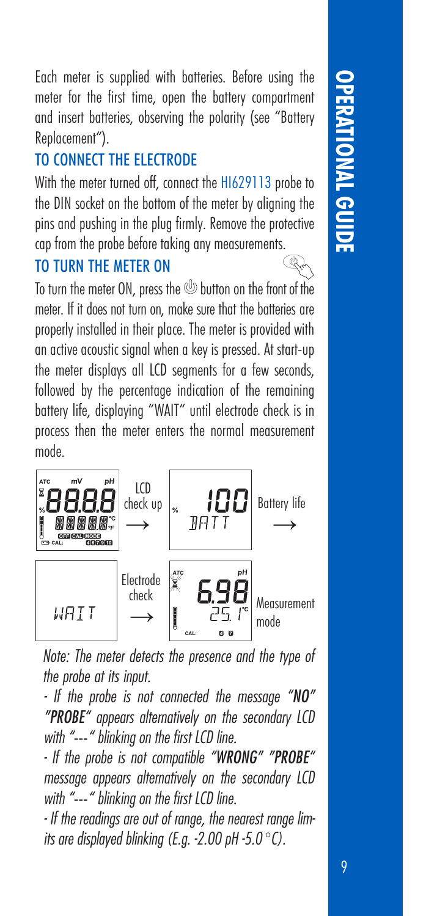9**OPERATIONAL GUIDE**

Each meter is supplied with batteries. Before using the meter for the first time, open the battery compartment and insert batteries, observing the polarity (see "Battery Replacement").

### TO CONNECT THE ELECTRODE

With the meter turned off, connect the H1629113 probe to the DIN socket on the bottom of the meter by aligning the pins and pushing in the plug firmly. Remove the protective cap from the probe before taking any measurements.

### TO TURN THE METER ON

To turn the meter ON, press the **button** on the front of the meter. If it does not turn on, make sure that the batteries are properly installed in their place. The meter is provided with an active acoustic signal when a key is pressed. At start-up the meter displays all LCD segments for a few seconds, followed by the percentage indication of the remaining battery life, displaying "WAIT" until electrode check is in process then the meter enters the normal measurement mode.



*Note: The meter detects the presence and the type of the probe at its input.*

*- If the probe is not connected the message "NO" "PROBE" appears alternatively on the secondary LCD with "*---*" blinking on the first LCD line.*

*- If the probe is not compatible "WRONG" "PROBE" message appears alternatively on the secondary LCD with "*---*" blinking on the first LCD line.*

*- If the readings are out of range, the nearest range limits are displayed blinking (E.g. -2.00 pH -5.0* °*C).*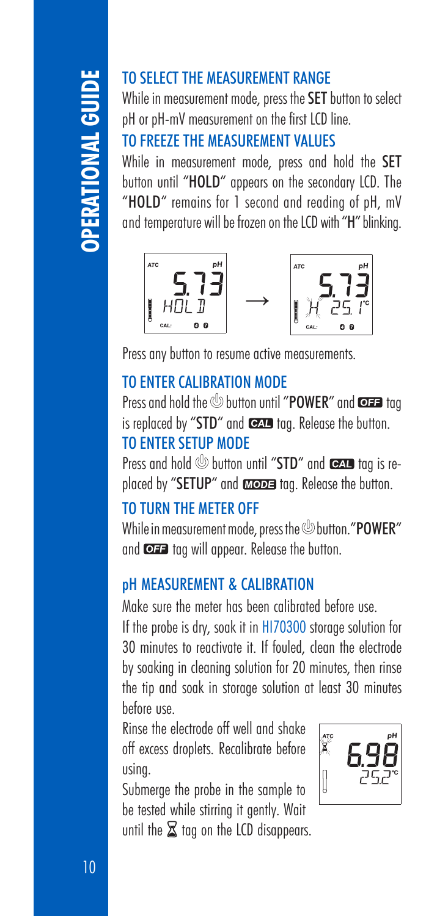# 10 **OPERATIONAL GUIDE**

### TO SELECT THE MEASUREMENT RANGE

While in measurement mode, press the SET button to select pH or pH-mV measurement on the first LCD line.

### TO FREEZE THE MEASUREMENT VALUES

While in measurement mode, press and hold the SET button until "HOLD" appears on the secondary LCD. The "HOLD" remains for 1 second and reading of pH, mV and temperature will be frozen on the LCD with "H" blinking.



Press any button to resume active measurements.

### TO ENTER CALIBRATION MODE

Press and hold the **button until "POWER"** and **@##** tag is replaced by "STD" and  $\bullet$  tag. Release the button. TO ENTER SETUP MODE

Press and hold **button until "STD"** and **tag is re**placed by "SETUP" and **atope** tag. Release the button.

### TO TURN THE METER OFF

While in measurement mode, press the  $\mathcal O$  button. "POWER" and  $\overline{\text{C2}}$  tag will appear. Release the button.

### pH MEASUREMENT & CALIBRATION

Make sure the meter has been calibrated before use. If the probe is dry, soak it in HI70300 storage solution for 30 minutes to reactivate it. If fouled, clean the electrode by soaking in cleaning solution for 20 minutes, then rinse the tip and soak in storage solution at least 30 minutes before use.

Rinse the electrode off well and shake off excess droplets. Recalibrate before using.

Submerge the probe in the sample to be tested while stirring it gently. Wait until the  $\Sigma$  tag on the LCD disappears.

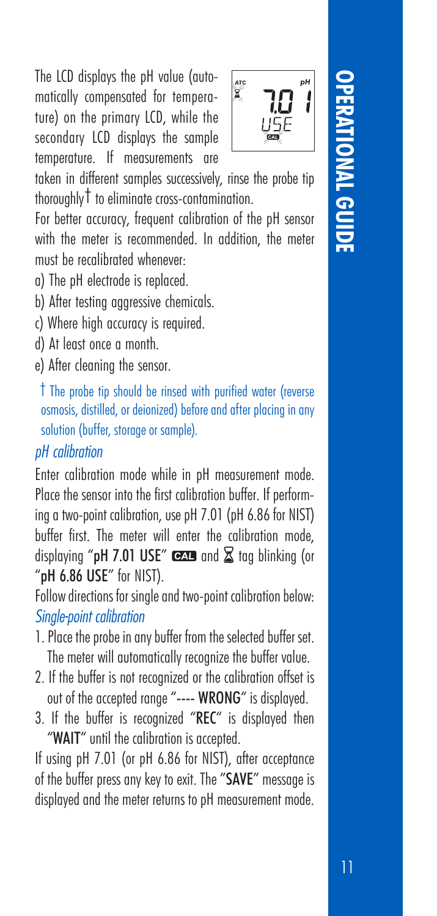The LCD displays the pH value (automatically compensated for tempera‑ ture) on the primary LCD, while the secondary LCD displays the sample temperature. If measurements are



taken in different samples successively, rinse the probe tip thoroughly† to eliminate cross-contamination.

For better accuracy, frequent calibration of the pH sensor with the meter is recommended. In addition, the meter must be recalibrated whenever:

a) The pH electrode is replaced.

b) After testing aggressive chemicals.

c) Where high accuracy is required.

d) At least once a month.

e) After cleaning the sensor.

† The probe tip should be rinsed with purified water (reverse osmosis, distilled, or deionized) before and after placing in any solution (buffer, storage or sample).

### *pH calibration*

Enter calibration mode while in pH measurement mode. Place the sensor into the first calibration buffer. If performing a two-point calibration, use pH 7.01 (pH 6.86 for NIST) buffer first. The meter will enter the calibration mode, displaying "pH 7.01 USE"  $\overline{Q}$  and  $\overline{Z}$  tag blinking (or "pH 6.86 USE" for NIST).

Follow directions for single and two-point calibration below: *Single-point calibration*

- 1. Place the probe in any buffer from the selected buffer set. The meter will automatically recognize the buffer value.
- 2. If the buffer is not recognized or the calibration offset is out of the accepted range "---- WRONG" is displayed.
- 3. If the buffer is recognized "REC" is displayed then "WAIT" until the calibration is accepted.

If using pH 7.01 (or pH 6.86 for NIST), after acceptance of the buffer press any key to exit. The "SAVE" message is displayed and the meter returns to pH measurement mode.

# 11 **OPERATIONAL GUIDE IONAL GUID**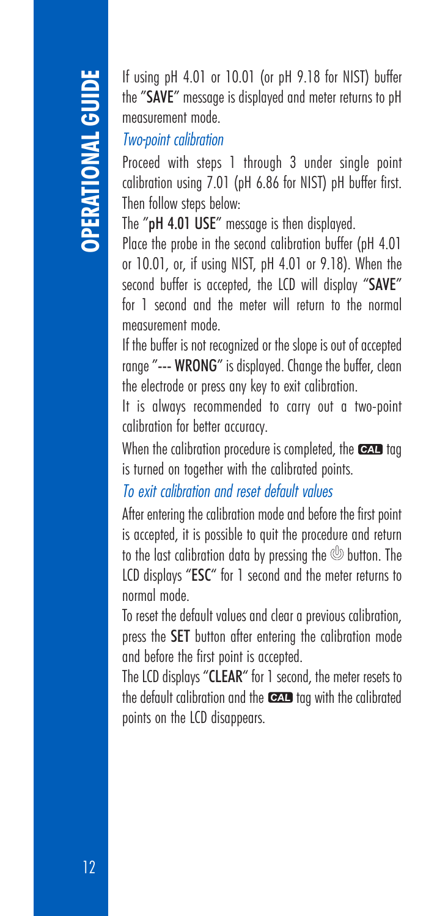the "SAVE" message is displayed and meter returns to pH measurement mode.

### *Two-point calibration*

Proceed with steps 1 through 3 under single point calibration using 7.01 (pH 6.86 for NIST) pH buffer first. Then follow steps below:

The "pH 4.01 USE" message is then displayed.

Place the probe in the second calibration buffer (pH 4.01 or 10.01, or, if using NIST, pH 4.01 or 9.18). When the second buffer is accepted, the LCD will display "SAVE" for 1 second and the meter will return to the normal measurement mode.

If the buffer is not recognized or the slope is out of accepted range "--- WRONG" is displayed. Change the buffer, clean the electrode or press any key to exit calibration.

It is always recommended to carry out a two-point calibration for better accuracy.

When the calibration procedure is completed, the  $\overline{C}$  tag is turned on together with the calibrated points.

*To exit calibration and reset default values*

16 using pH 4.01 or 10.01 (or pH 9.18 for NIST) buffer<br>the "SANE" measurement mode.<br>Two-point calibration<br>Proceed with steps 1 through 3 under single point<br>culturing using 7.01 (pH 6.86 for NIST) pH buffer first.<br>The "pH After entering the calibration mode and before the first point is accepted, it is possible to quit the procedure and return to the last calibration data by pressing the  $\mathcal Q$  button. The LCD displays "ESC" for 1 second and the meter returns to normal mode.

To reset the default values and clear a previous calibration, press the SET button after entering the calibration mode and before the first point is accepted.

The LCD displays "CLEAR" for 1 second, the meter resets to the default calibration and the  $\overline{C}$  tag with the calibrated points on the LCD disappears.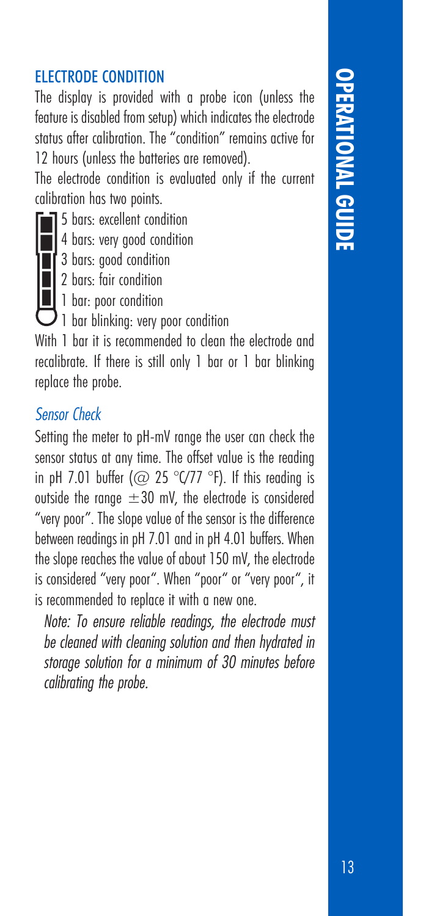### **OPERATIONAL GU OPERATIONAL GUIDE**

### **FIECTRODE CONDITION**

The display is provided with a probe icon (unless the feature is disabled from setup) which indicates the electrode status after calibration. The "condition" remains active for 12 hours (unless the batteries are removed).

The electrode condition is evaluated only if the current calibration has two points.

- 5 bars: excellent condition
- 4 bars: very good condition
- <sup>3</sup> bars: good condition
- 2 bars: fair condition
- 1 bar: poor condition
- $\mathcal{V}$  1 bar blinking: very poor condition

With 1 bar it is recommended to clean the electrode and recalibrate. If there is still only 1 bar or 1 bar blinking replace the probe.

### *Sensor Check*

Setting the meter to pH-mV range the user can check the sensor status at any time. The offset value is the reading in pH 7.01 buffer ( $\varpi$  25 °C/77 °F). If this reading is outside the range  $\pm 30$  mV, the electrode is considered "very poor". The slope value of the sensor is the difference between readings in pH 7.01 and in pH 4.01 buffers. When the slope reaches the value of about 150 mV, the electrode is considered "very poor". When "poor" or "very poor", it is recommended to replace it with a new one.

*Note: To ensure reliable readings, the electrode must be cleaned with cleaning solution and then hydrated in storage solution for a minimum of 30 minutes before calibrating the probe.*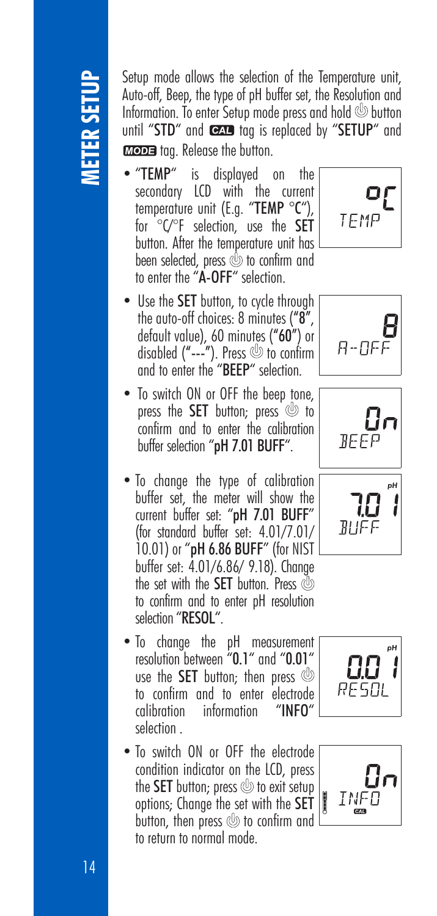Auto-off, Beep, the type of pH buffer set, the Resolution and Information. To enter Setup mode press and hold  $\circledcirc$  button until "STD" and **tag** tag is replaced by "SETUP" and **MODE** too. Release the button.

- "TEMP" is displayed on the secondary LCD with the current temperature unit (E.g. "TEMP °C"), for °C/°F selection, use the SET button. After the temperature unit has been selected, press  $\circled{v}$  to confirm and to enter the "A-OFF" selection.
- Use the **SET** button, to cycle through the auto-off choices: 8 minutes ("8", default value), 60 minutes ("60") or disabled  $("---")$ . Press  $\circledcirc$  to confirm and to enter the "BEEP" selection.
- To switch ON or OFF the beep tone, press the **SET** button; press  $\circledcirc$  to confirm and to enter the calibration buffer selection "pH 7.01 BUFF".
- Setup mode ellows the selection of the Temperature unit,<br>
Information. To enter Setup mode press and hold  $\otimes$  buttom<br>
until "STD" and **E2** the type of pH buffer set, the Resolution<br> **EXELUPY** and **E2 the Unit,**<br> **EXELUP** • To change the type of calibration buffer set, the meter will show the current buffer set: "pH 7.01 BUFF" (for standard buffer set: 4.01/7.01/ 10.01) or "pH 6.86 BUFF" (for NIST buffer set: 4.01/6.86/ 9.18). Change the set with the **SET** button. Press @ to confirm and to enter pH resolution selection "RESOL".
	- To change the pH measurement resolution between "0.1" and "0.01" use the **SET** button: then press  $\circledcirc$ to confirm and to enter electrode<br>calibration information "INFO" information selection .
	- To switch ON or OFF the electrode condition indicator on the LCD, press the SET button; press  $\circledcirc$  to exit setup options; Change the set with the SET button, then press  $\circledB$  to confirm and to return to normal mode.











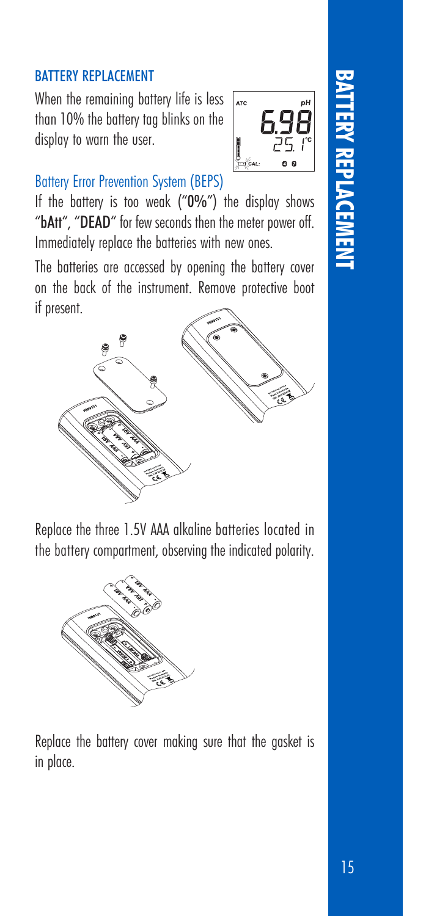### BATTERY REPLACEMENT

When the remaining battery life is less than 10% the battery tag blinks on the display to warn the user.



### Battery Error Prevention System (BEPS)

If the battery is too weak ("0%") the display shows "bAtt", "DEAD" for few seconds then the meter power off. Immediately replace the batteries with new ones.

The batteries are accessed by opening the battery cover on the back of the instrument. Remove protective boot if present.



Replace the three 1.5V AAA alkaline batteries located in the battery compartment, observing the indicated polarity.



Replace the battery cover making sure that the gasket is in place.

# **BATTERY REPLACEMENT**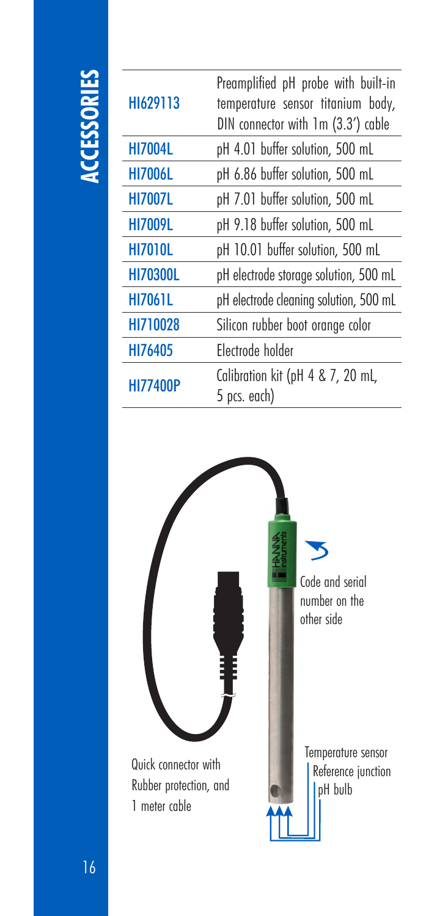### **ACCESSORIES**

| H1629113        | Preamplified pH probe with built-in<br>temperature sensor titanium body,<br>DIN connector with 1m (3.3') cable |
|-----------------|----------------------------------------------------------------------------------------------------------------|
| <b>HI7004L</b>  | pH 4.01 buffer solution, 500 mL                                                                                |
| <b>HI7006L</b>  | pH 6.86 buffer solution, 500 mL                                                                                |
| <b>HI7007L</b>  | pH 7.01 buffer solution, 500 mL                                                                                |
| <b>HI7009L</b>  | pH 9.18 buffer solution, 500 mL                                                                                |
| <b>HI7010L</b>  | pH 10.01 buffer solution, 500 mL                                                                               |
| <b>HI70300L</b> | pH electrode storage solution, 500 mL                                                                          |
| <b>HI7061L</b>  | pH electrode cleaning solution, 500 mL                                                                         |
| HI710028        | Silicon rubber boot orange color                                                                               |
| HI76405         | Flectrode holder                                                                                               |
| <b>HI77400P</b> | Calibration kit (pH 4 & 7, 20 mL,<br>5 pcs. each)                                                              |
|                 |                                                                                                                |

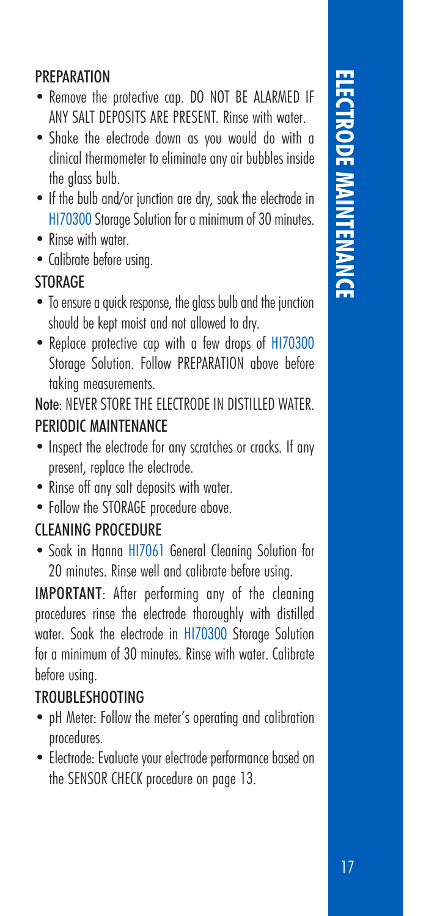# **ELECTRODE MAINTENA** 17**ELECTRODE MAINTENANCE**

### **PREPARATION**

- Remove the protective cap. DO NOT BE ALARMED IF ANY SALT DEPOSITS ARE PRESENT. Rinse with water.
- Shake the electrode down as you would do with a clinical thermometer to eliminate any air bubbles inside the glass bulb.
- If the bulb and/or junction are dry, soak the electrode in HI70300 Storage Solution for a minimum of 30 minutes.
- Rinse with water
- Calibrate before using.

### **STORAGE**

- To ensure a quick response, the glass bulb and the junction should be kept moist and not allowed to dry.
- Replace protective cap with a few drops of HI70300 Storage Solution. Follow PREPARATION above before taking measurements.

Note: NEVER STORE THE ELECTRODE IN DISTILLED WATER. PERIODIC MAINTENANCE

- Inspect the electrode for any scratches or cracks. If any present, replace the electrode.
- Rinse off any salt deposits with water.
- Follow the STORAGE procedure above.

### CLEANING PROCEDURE

• Soak in Hanna HI7061 General Cleaning Solution for 20 minutes. Rinse well and calibrate before using.

IMPORTANT: After performing any of the cleaning procedures rinse the electrode thoroughly with distilled water. Soak the electrode in HI70300 Storage Solution for a minimum of 30 minutes. Rinse with water. Calibrate before using.

### TROUBLESHOOTING

- pH Meter: Follow the meter's operating and calibration procedures.
- Electrode: Evaluate your electrode performance based on the SENSOR CHECK procedure on page 13.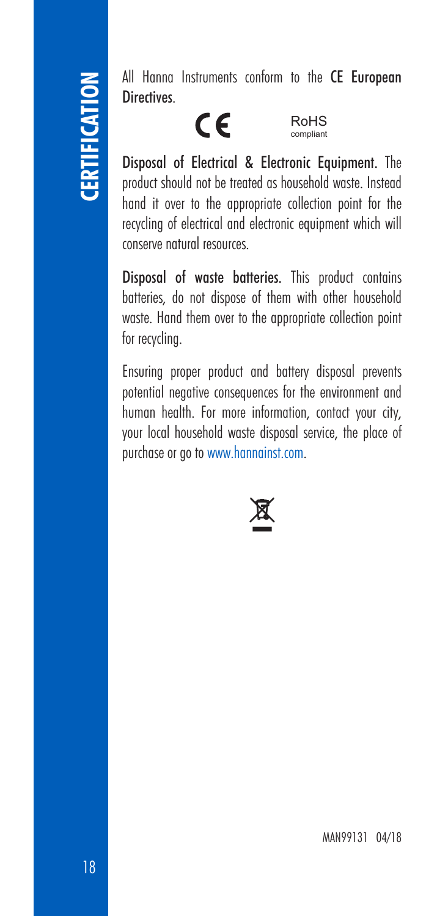## **CERTIFICATION**

All Hanna Instruments conform to the CE European **Directives** 

### $C\epsilon$

RoHS compliant

Disposal of Electrical & Electronic Equipment. The product should not be treated as household waste. Instead hand it over to the appropriate collection point for the recycling of electrical and electronic equipment which will conserve natural resources.

Disposal of waste batteries. This product contains batteries, do not dispose of them with other household waste. Hand them over to the appropriate collection point for recycling.

Ensuring proper product and battery disposal prevents potential negative consequences for the environment and human health. For more information, contact your city, your local household waste disposal service, the place of purchase or go to www.hannainst.com.

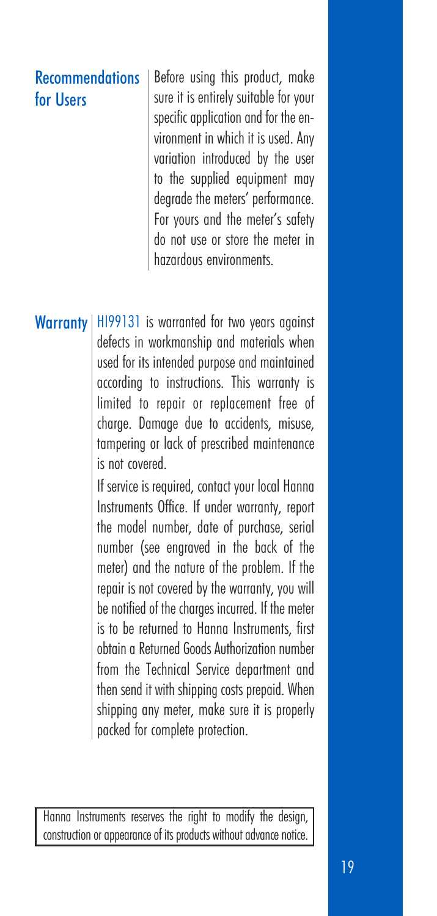### **Recommendations** for Users

Before using this product, make sure it is entirely suitable for your specific application and for the environment in which it is used. Any variation introduced by the user to the supplied equipment may degrade the meters' performance. For yours and the meter's safety do not use or store the meter in hazardous environments.

**Warranty** | H199131 is warranted for two years against defects in workmanship and materials when used for its intended purpose and maintained according to instructions. This warranty is limited to repair or replacement free of charge. Damage due to accidents, misuse, tampering or lack of prescribed maintenance is not covered.

> If service is required, contact your local Hanna Instruments Office. If under warranty, report the model number, date of purchase, serial number (see engraved in the back of the meter) and the nature of the problem. If the repair is not covered by the warranty, you will be notified of the charges incurred. If the meter is to be returned to Hanna Instruments, first obtain a Returned Goods Authorization number from the Technical Service department and then send it with shipping costs prepaid. When shipping any meter, make sure it is properly packed for complete protection.

Hanna Instruments reserves the right to modify the design, construction or appearance of its products without advance notice.